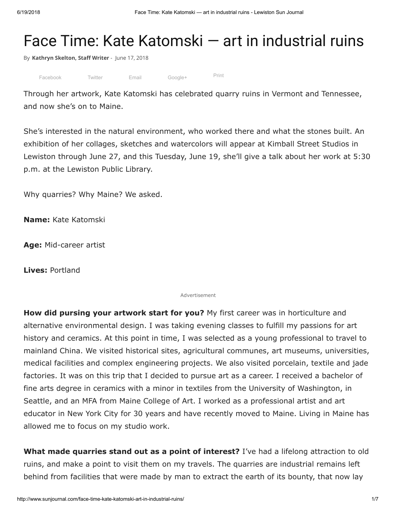## Face Time: Kate Katomski — art in industrial ruins

By Kathryn Skelton, Staff Writer - June 17, 2018

Facebook Twitter Email Google+ Print

Through her artwork, Kate Katomski has celebrated quarry ruins in Vermont and Tennessee, and now she's on to Maine.

She's interested in the natural environment, who worked there and what the stones built. An exhibition of her collages, sketches and watercolors will appear at Kimball Street Studios in Lewiston through June 27, and this Tuesday, June 19, she'll give a talk about her work at 5:30 p.m. at the Lewiston Public Library.

Why quarries? Why Maine? We asked.

**Name:** Kate Katomski

**Age:** Mid-career artist

**Lives:** Portland

Advertisement

**How did pursing your artwork start for you?** My first career was in horticulture and alternative environmental design. I was taking evening classes to fulfill my passions for art history and ceramics. At this point in time, I was selected as a young professional to travel to mainland China. We visited historical sites, agricultural communes, art museums, universities, medical facilities and complex engineering projects. We also visited porcelain, textile and jade factories. It was on this trip that I decided to pursue art as a career. I received a bachelor of fine arts degree in ceramics with a minor in textiles from the University of Washington, in Seattle, and an MFA from Maine College of Art. I worked as a professional artist and art educator in New York City for 30 years and have recently moved to Maine. Living in Maine has allowed me to focus on my studio work.

**What made quarries stand out as a point of interest?** I've had a lifelong attraction to old ruins, and make a point to visit them on my travels. The quarries are industrial remains left behind from facilities that were made by man to extract the earth of its bounty, that now lay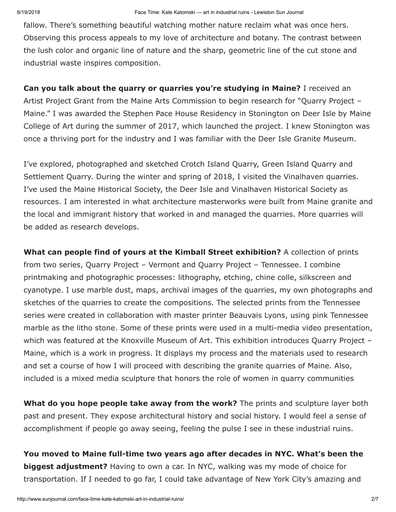fallow. There's something beautiful watching mother nature reclaim what was once hers. Observing this process appeals to my love of architecture and botany. The contrast between the lush color and organic line of nature and the sharp, geometric line of the cut stone and industrial waste inspires composition.

**Can you talk about the quarry or quarries you're studying in Maine?** I received an Artist Project Grant from the Maine Arts Commission to begin research for "Quarry Project – Maine." I was awarded the Stephen Pace House Residency in Stonington on Deer Isle by Maine College of Art during the summer of 2017, which launched the project. I knew Stonington was once a thriving port for the industry and I was familiar with the Deer Isle Granite Museum.

I've explored, photographed and sketched Crotch Island Quarry, Green Island Quarry and Settlement Quarry. During the winter and spring of 2018, I visited the Vinalhaven quarries. I've used the Maine Historical Society, the Deer Isle and Vinalhaven Historical Society as resources. I am interested in what architecture masterworks were built from Maine granite and the local and immigrant history that worked in and managed the quarries. More quarries will be added as research develops.

**What can people find of yours at the Kimball Street exhibition?** A collection of prints from two series, Quarry Project – Vermont and Quarry Project – Tennessee. I combine printmaking and photographic processes: lithography, etching, chine colle, silkscreen and cyanotype. I use marble dust, maps, archival images of the quarries, my own photographs and sketches of the quarries to create the compositions. The selected prints from the Tennessee series were created in collaboration with master printer Beauvais Lyons, using pink Tennessee marble as the litho stone. Some of these prints were used in a multi-media video presentation, which was featured at the Knoxville Museum of Art. This exhibition introduces Quarry Project – Maine, which is a work in progress. It displays my process and the materials used to research and set a course of how I will proceed with describing the granite quarries of Maine. Also, included is a mixed media sculpture that honors the role of women in quarry communities

**What do you hope people take away from the work?** The prints and sculpture layer both past and present. They expose architectural history and social history. I would feel a sense of accomplishment if people go away seeing, feeling the pulse I see in these industrial ruins.

**You moved to Maine full-time two years ago after decades in NYC. What's been the biggest adjustment?** Having to own a car. In NYC, walking was my mode of choice for transportation. If I needed to go far, I could take advantage of New York City's amazing and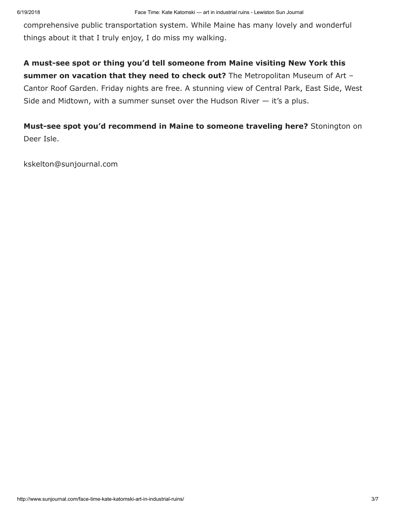comprehensive public transportation system. While Maine has many lovely and wonderful things about it that I truly enjoy, I do miss my walking.

## **A must-see spot or thing you'd tell someone from Maine visiting New York this**

**summer on vacation that they need to check out?** The Metropolitan Museum of Art – Cantor Roof Garden. Friday nights are free. A stunning view of Central Park, East Side, West Side and Midtown, with a summer sunset over the Hudson River  $-$  it's a plus.

**Must-see spot you'd recommend in Maine to someone traveling here?** Stonington on Deer Isle.

kskelton@sunjournal.com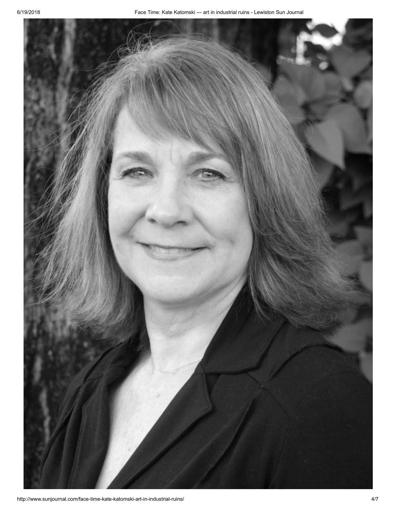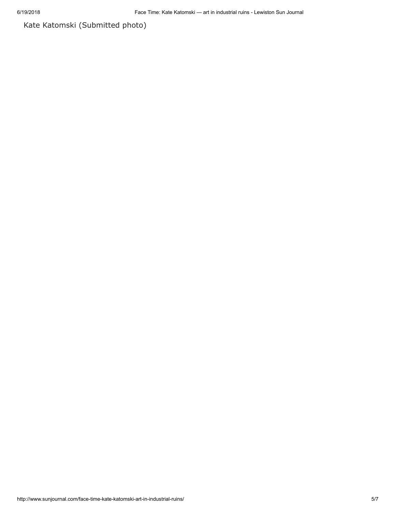Kate Katomski (Submitted photo)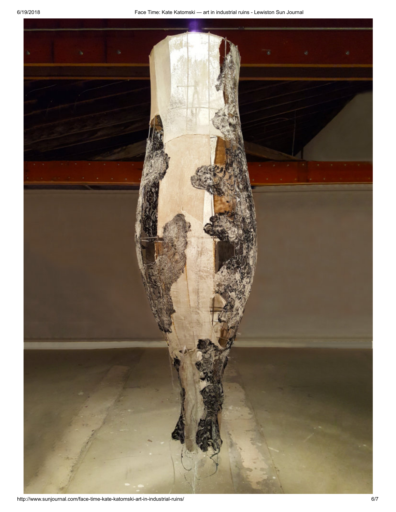

http://www.sunjournal.com/face-time-kate-katomski-art-in-industrial-ruins/ 6/7